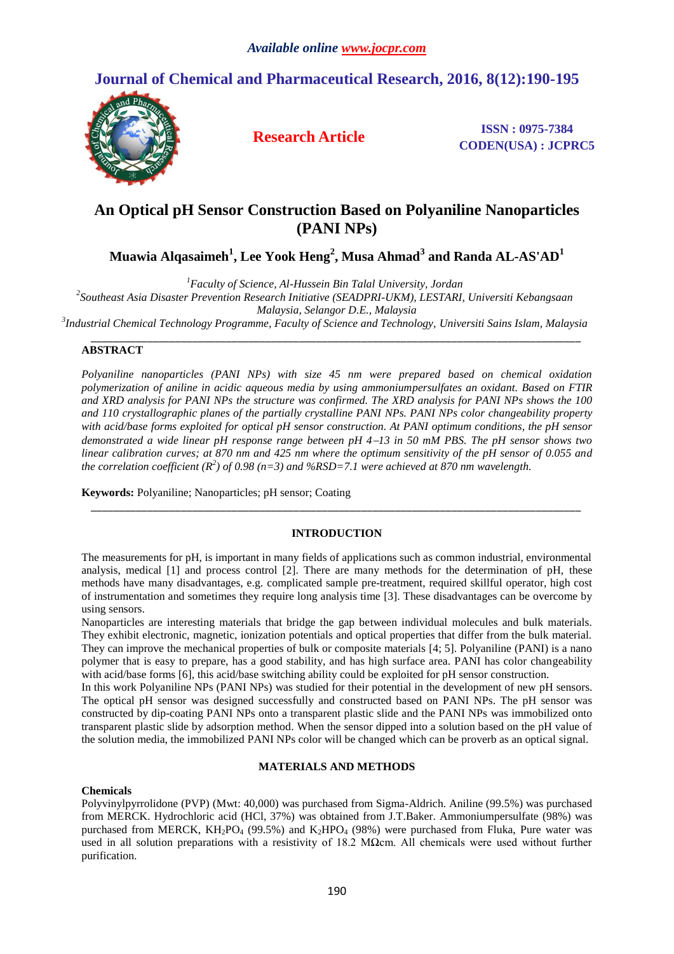# **Journal of Chemical and Pharmaceutical Research, 2016, 8(12):190-195**



**Research Article ISSN**: 0975-7384 **CODEN(USA) : JCPRC5**

## **An Optical pH Sensor Construction Based on Polyaniline Nanoparticles (PANI NPs)**

**Muawia Alqasaimeh<sup>1</sup> , Lee Yook Heng<sup>2</sup> , Musa Ahmad<sup>3</sup> and Randa AL-AS'AD<sup>1</sup>**

*<sup>1</sup>Faculty of Science, Al-Hussein Bin Talal University, Jordan*

*2 Southeast Asia Disaster Prevention Research Initiative (SEADPRI-UKM), LESTARI, Universiti Kebangsaan* 

*Malaysia, Selangor D.E., Malaysia*

*3 Industrial Chemical Technology Programme, Faculty of Science and Technology, Universiti Sains Islam, Malaysia*

#### *\_\_\_\_\_\_\_\_\_\_\_\_\_\_\_\_\_\_\_\_\_\_\_\_\_\_\_\_\_\_\_\_\_\_\_\_\_\_\_\_\_\_\_\_\_\_\_\_\_\_\_\_\_\_\_\_\_\_\_\_\_\_\_\_\_\_\_\_\_\_\_\_\_\_\_\_\_\_\_\_\_\_\_\_\_\_\_* **ABSTRACT**

*Polyaniline nanoparticles (PANI NPs) with size 45 nm were prepared based on chemical oxidation polymerization of aniline in acidic aqueous media by using ammoniumpersulfates an oxidant. Based on FTIR and XRD analysis for PANI NPs the structure was confirmed. The XRD analysis for PANI NPs shows the 100 and 110 crystallographic planes of the partially crystalline PANI NPs. PANI NPs color changeability property with acid/base forms exploited for optical pH sensor construction. At PANI optimum conditions, the pH sensor demonstrated a wide linear pH response range between pH 413 in 50 mM PBS. The pH sensor shows two linear calibration curves; at 870 nm and 425 nm where the optimum sensitivity of the pH sensor of 0.055 and the correlation coefficient (R<sup>2</sup> ) of 0.98 (n=3) and %RSD=7.1 were achieved at 870 nm wavelength.*

**Keywords:** Polyaniline; Nanoparticles; pH sensor; Coating

## **INTRODUCTION**

*\_\_\_\_\_\_\_\_\_\_\_\_\_\_\_\_\_\_\_\_\_\_\_\_\_\_\_\_\_\_\_\_\_\_\_\_\_\_\_\_\_\_\_\_\_\_\_\_\_\_\_\_\_\_\_\_\_\_\_\_\_\_\_\_\_\_\_\_\_\_\_\_\_\_\_\_\_\_\_\_\_\_\_\_\_\_\_*

The measurements for pH, is important in many fields of applications such as common industrial, environmental analysis, medical [1] and process control [2]. There are many methods for the determination of pH, these methods have many disadvantages, e.g. complicated sample pre-treatment, required skillful operator, high cost of instrumentation and sometimes they require long analysis time [3]. These disadvantages can be overcome by using sensors.

Nanoparticles are interesting materials that bridge the gap between individual molecules and bulk materials. They exhibit electronic, magnetic, ionization potentials and optical properties that differ from the bulk material. They can improve the mechanical properties of bulk or composite materials [4; 5]. Polyaniline (PANI) is a nano polymer that is easy to prepare, has a good stability, and has high surface area. PANI has color changeability with acid/base forms [6], this acid/base switching ability could be exploited for pH sensor construction.

In this work Polyaniline NPs (PANI NPs) was studied for their potential in the development of new pH sensors. The optical pH sensor was designed successfully and constructed based on PANI NPs. The pH sensor was constructed by dip-coating PANI NPs onto a transparent plastic slide and the PANI NPs was immobilized onto transparent plastic slide by adsorption method. When the sensor dipped into a solution based on the pH value of the solution media, the immobilized PANI NPs color will be changed which can be proverb as an optical signal.

## **MATERIALS AND METHODS**

## **Chemicals**

Polyvinylpyrrolidone (PVP) (Mwt: 40,000) was purchased from Sigma-Aldrich. Aniline (99.5%) was purchased from MERCK. Hydrochloric acid (HCl, 37%) was obtained from J.T.Baker. Ammoniumpersulfate (98%) was purchased from MERCK,  $KH_2PO_4$  (99.5%) and  $K_2HPO_4$  (98%) were purchased from Fluka, Pure water was used in all solution preparations with a resistivity of 18.2 MΩcm. All chemicals were used without further purification.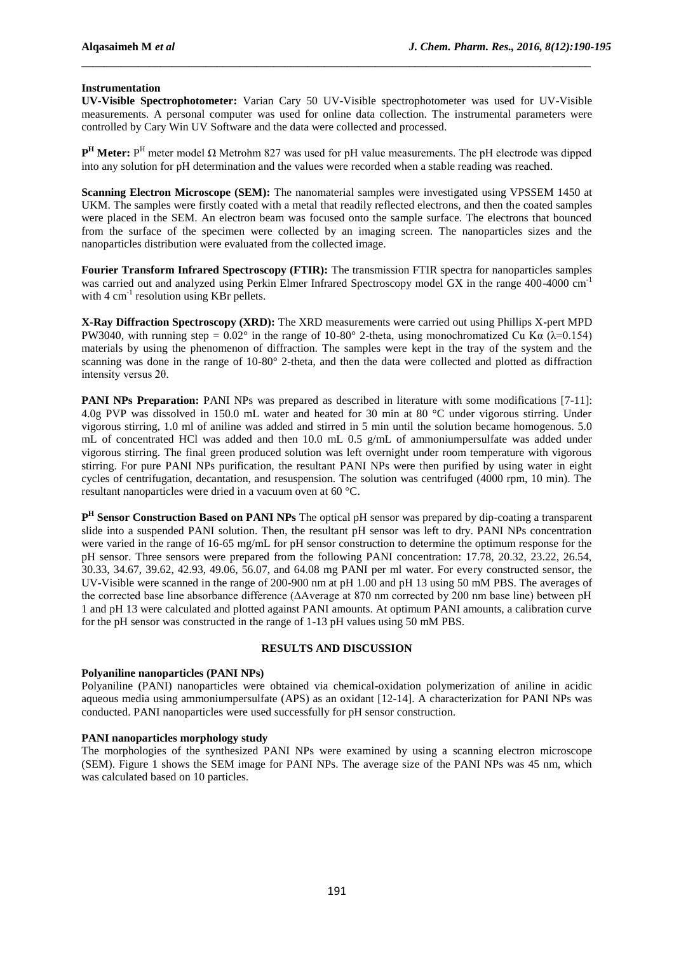### **Instrumentation**

**UV-Visible Spectrophotometer:** Varian Cary 50 UV-Visible spectrophotometer was used for UV-Visible measurements. A personal computer was used for online data collection. The instrumental parameters were controlled by Cary Win UV Software and the data were collected and processed.

\_\_\_\_\_\_\_\_\_\_\_\_\_\_\_\_\_\_\_\_\_\_\_\_\_\_\_\_\_\_\_\_\_\_\_\_\_\_\_\_\_\_\_\_\_\_\_\_\_\_\_\_\_\_\_\_\_\_\_\_\_\_\_\_\_\_\_\_\_\_\_\_\_\_\_\_\_\_\_\_\_\_\_\_\_\_\_\_\_\_

**P<sup>H</sup>** Meter: P<sup>H</sup> meter model Ω Metrohm 827 was used for pH value measurements. The pH electrode was dipped into any solution for pH determination and the values were recorded when a stable reading was reached.

**Scanning Electron Microscope (SEM):** The nanomaterial samples were investigated using VPSSEM 1450 at UKM. The samples were firstly coated with a metal that readily reflected electrons, and then the coated samples were placed in the SEM. An electron beam was focused onto the sample surface. The electrons that bounced from the surface of the specimen were collected by an imaging screen. The nanoparticles sizes and the nanoparticles distribution were evaluated from the collected image.

**Fourier Transform Infrared Spectroscopy (FTIR):** The transmission FTIR spectra for nanoparticles samples was carried out and analyzed using Perkin Elmer Infrared Spectroscopy model GX in the range 400-4000 cm<sup>-1</sup> with  $4 \text{ cm}^{-1}$  resolution using KBr pellets.

**X-Ray Diffraction Spectroscopy (XRD):** The XRD measurements were carried out using Phillips X-pert MPD PW3040, with running step =  $0.02^{\circ}$  in the range of 10-80° 2-theta, using monochromatized Cu Kα (λ=0.154) materials by using the phenomenon of diffraction. The samples were kept in the tray of the system and the scanning was done in the range of 10-80° 2-theta, and then the data were collected and plotted as diffraction intensity versus 2θ.

**PANI NPs Preparation:** PANI NPs was prepared as described in literature with some modifications [7-11]: 4.0g PVP was dissolved in 150.0 mL water and heated for 30 min at 80 °C under vigorous stirring. Under vigorous stirring, 1.0 ml of aniline was added and stirred in 5 min until the solution became homogenous. 5.0 mL of concentrated HCl was added and then 10.0 mL 0.5 g/mL of ammoniumpersulfate was added under vigorous stirring. The final green produced solution was left overnight under room temperature with vigorous stirring. For pure PANI NPs purification, the resultant PANI NPs were then purified by using water in eight cycles of centrifugation, decantation, and resuspension. The solution was centrifuged (4000 rpm, 10 min). The resultant nanoparticles were dried in a vacuum oven at 60 °C.

**P H Sensor Construction Based on PANI NPs** The optical pH sensor was prepared by dip-coating a transparent slide into a suspended PANI solution. Then, the resultant pH sensor was left to dry. PANI NPs concentration were varied in the range of 16-65 mg/mL for pH sensor construction to determine the optimum response for the pH sensor. Three sensors were prepared from the following PANI concentration: 17.78, 20.32, 23.22, 26.54, 30.33, 34.67, 39.62, 42.93, 49.06, 56.07, and 64.08 mg PANI per ml water. For every constructed sensor, the UV-Visible were scanned in the range of 200-900 nm at pH 1.00 and pH 13 using 50 mM PBS. The averages of the corrected base line absorbance difference (∆Average at 870 nm corrected by 200 nm base line) between pH 1 and pH 13 were calculated and plotted against PANI amounts. At optimum PANI amounts, a calibration curve for the pH sensor was constructed in the range of 1-13 pH values using 50 mM PBS.

#### **RESULTS AND DISCUSSION**

## **Polyaniline nanoparticles (PANI NPs)**

Polyaniline (PANI) nanoparticles were obtained via chemical-oxidation polymerization of aniline in acidic aqueous media using ammoniumpersulfate (APS) as an oxidant [12-14]. A characterization for PANI NPs was conducted. PANI nanoparticles were used successfully for pH sensor construction.

### **PANI nanoparticles morphology study**

The morphologies of the synthesized PANI NPs were examined by using a scanning electron microscope (SEM). Figure 1 shows the SEM image for PANI NPs. The average size of the PANI NPs was 45 nm, which was calculated based on 10 particles.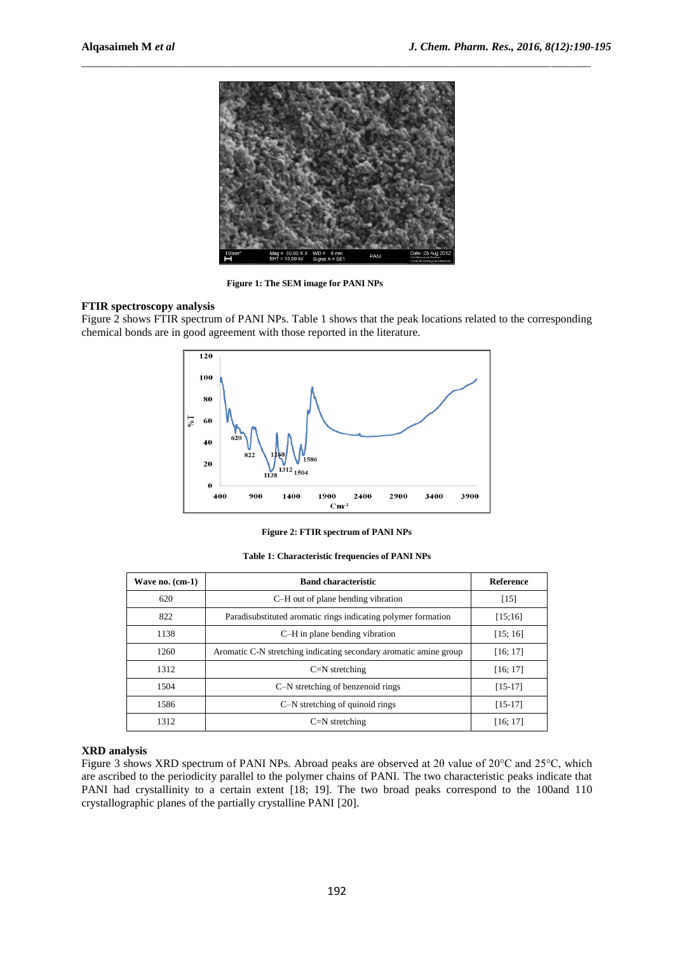

\_\_\_\_\_\_\_\_\_\_\_\_\_\_\_\_\_\_\_\_\_\_\_\_\_\_\_\_\_\_\_\_\_\_\_\_\_\_\_\_\_\_\_\_\_\_\_\_\_\_\_\_\_\_\_\_\_\_\_\_\_\_\_\_\_\_\_\_\_\_\_\_\_\_\_\_\_\_\_\_\_\_\_\_\_\_\_\_\_\_

**Figure 1: The SEM image for PANI NPs**

## **FTIR spectroscopy analysis**

Figure 2 shows FTIR spectrum of PANI NPs. Table 1 shows that the peak locations related to the corresponding chemical bonds are in good agreement with those reported in the literature.



**Figure 2: FTIR spectrum of PANI NPs**

**Table 1: Characteristic frequencies of PANI NPs**

| Wave no. $(cm-1)$ | <b>Band characteristic</b>                                        | Reference |
|-------------------|-------------------------------------------------------------------|-----------|
| 620               | C-H out of plane bending vibration                                | $[15]$    |
| 822               | Paradisubstituted aromatic rings indicating polymer formation     | [15;16]   |
| 1138              | C-H in plane bending vibration                                    | [15; 16]  |
| 1260              | Aromatic C-N stretching indicating secondary aromatic amine group | [16; 17]  |
| 1312              | $C=N$ stretching                                                  | [16; 17]  |
| 1504              | C-N stretching of benzenoid rings                                 | $[15-17]$ |
| 1586              | C-N stretching of quinoid rings                                   | $[15-17]$ |
| 1312              | $C=N$ stretching                                                  | [16; 17]  |

### **XRD analysis**

Figure 3 shows XRD spectrum of PANI NPs. Abroad peaks are observed at 2θ value of 20°C and 25°C, which are ascribed to the periodicity parallel to the polymer chains of PANI. The two characteristic peaks indicate that PANI had crystallinity to a certain extent [18; 19]. The two broad peaks correspond to the 100and 110 crystallographic planes of the partially crystalline PANI [20].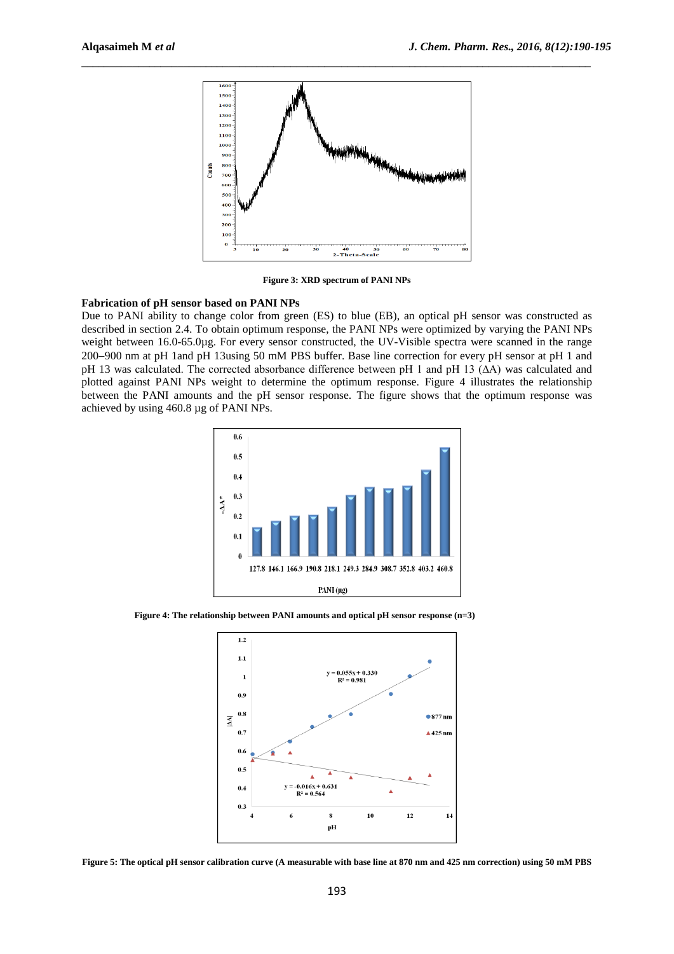

**Figure 3: XRD spectrum of PANI NPs**

## **Fabrication of pH sensor based on PANI NPs**

Due to PANI ability to change color from green (ES) to blue (EB), an optical pH sensor was constructed as described in section 2.4. To obtain optimum response, the PANI NPs were optimized by varying the PANI NPs weight between 16.0-65.0µg. For every sensor constructed, the UV-Visible spectra were scanned in the range 200900 nm at pH 1and pH 13using 50 mM PBS buffer. Base line correction for every pH sensor at pH 1 and pH 13 was calculated. The corrected absorbance difference between pH 1 and pH 13 (∆A) was calculated and plotted against PANI NPs weight to determine the optimum response. Figure 4 illustrates the relationship between the PANI amounts and the pH sensor response. The figure shows that the optimum response was achieved by using 460.8 µg of PANI NPs.



**Figure 4: The relationship between PANI amounts and optical pH sensor response (n=3)**



**Figure 5: The optical pH sensor calibration curve (A measurable with base line at 870 nm and 425 nm correction) using 50 mM PBS**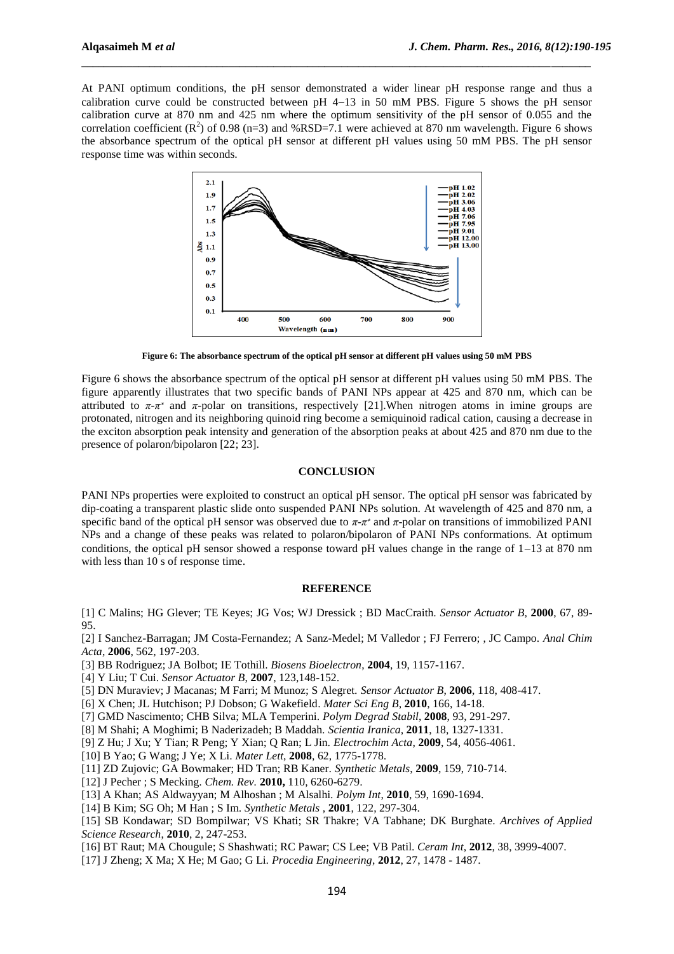At PANI optimum conditions, the pH sensor demonstrated a wider linear pH response range and thus a calibration curve could be constructed between pH  $4-13$  in 50 mM PBS. Figure 5 shows the pH sensor calibration curve at 870 nm and 425 nm where the optimum sensitivity of the pH sensor of 0.055 and the correlation coefficient  $(R^2)$  of 0.98 (n=3) and %RSD=7.1 were achieved at 870 nm wavelength. Figure 6 shows the absorbance spectrum of the optical pH sensor at different pH values using 50 mM PBS. The pH sensor response time was within seconds.

\_\_\_\_\_\_\_\_\_\_\_\_\_\_\_\_\_\_\_\_\_\_\_\_\_\_\_\_\_\_\_\_\_\_\_\_\_\_\_\_\_\_\_\_\_\_\_\_\_\_\_\_\_\_\_\_\_\_\_\_\_\_\_\_\_\_\_\_\_\_\_\_\_\_\_\_\_\_\_\_\_\_\_\_\_\_\_\_\_\_



**Figure 6: The absorbance spectrum of the optical pH sensor at different pH values using 50 mM PBS**

Figure 6 shows the absorbance spectrum of the optical pH sensor at different pH values using 50 mM PBS. The figure apparently illustrates that two specific bands of PANI NPs appear at 425 and 870 nm, which can be attributed to  $\pi$ - $\pi$ <sup>\*</sup> and  $\pi$ -polar on transitions, respectively [21]. When nitrogen atoms in imine groups are protonated, nitrogen and its neighboring quinoid ring become a semiquinoid radical cation, causing a decrease in the exciton absorption peak intensity and generation of the absorption peaks at about 425 and 870 nm due to the presence of polaron/bipolaron [22; 23].

### **CONCLUSION**

PANI NPs properties were exploited to construct an optical pH sensor. The optical pH sensor was fabricated by dip-coating a transparent plastic slide onto suspended PANI NPs solution. At wavelength of 425 and 870 nm, a specific band of the optical pH sensor was observed due to *π*-*π* ∗ and *π*-polar on transitions of immobilized PANI NPs and a change of these peaks was related to polaron/bipolaron of PANI NPs conformations. At optimum conditions, the optical pH sensor showed a response toward pH values change in the range of  $1-13$  at 870 nm with less than 10 s of response time.

#### **REFERENCE**

[1] C Malins; HG Glever; TE Keyes; JG Vos; WJ Dressick ; BD MacCraith. *Sensor Actuator B*, **2000**, 67, 89- 95.

[2] I Sanchez-Barragan; JM Costa-Fernandez; A Sanz-Medel; M Valledor ; FJ Ferrero; , JC Campo. *Anal Chim Acta*, **2006**, 562, 197-203.

[3] BB Rodriguez; JA Bolbot; IE Tothill. *Biosens Bioelectron*, **2004**, 19, 1157-1167.

[4] Y Liu; T Cui. *Sensor Actuator B*, **2007**, 123,148-152.

[5] DN Muraviev; J Macanas; M Farri; M Munoz; S Alegret. *Sensor Actuator B*, **2006**, 118, 408-417.

[6] X Chen; JL Hutchison; PJ Dobson; G Wakefield. *Mater Sci Eng B*, **2010**, 166, 14-18.

[7] GMD Nascimento; CHB Silva; MLA Temperini. *Polym Degrad Stabil*, **2008**, 93, 291-297.

[8] M Shahi; A Moghimi; B Naderizadeh; B Maddah. *Scientia Iranica*, **2011**, 18, 1327-1331.

[9] Z Hu; J Xu; Y Tian; R Peng; Y Xian; Q Ran; L Jin. *Electrochim Acta*, **2009**, 54, 4056-4061.

[10] B Yao; G Wang; J Ye; X Li. *Mater Lett*, **2008**, 62, 1775-1778.

[11] ZD Zujovic; GA Bowmaker; HD Tran; RB Kaner. *Synthetic Metals*, **2009**, 159, 710-714.

[12] J Pecher ; S Mecking. *Chem. Rev.* **2010,** 110, 6260-6279.

[13] A Khan; AS Aldwayyan; M Alhoshan ; M Alsalhi. *Polym Int*, **2010**, 59, 1690-1694.

[14] B Kim; SG Oh; M Han ; S Im. *Synthetic Metals* , **2001**, 122, 297-304.

[15] SB Kondawar; SD Bompilwar; VS Khati; SR Thakre; VA Tabhane; DK Burghate. *Archives of Applied Science Research*, **2010**, 2, 247-253.

[16] BT Raut; MA Chougule; S Shashwati; RC Pawar; CS Lee; VB Patil. *Ceram Int*, **2012**, 38, 3999-4007.

[17] J Zheng; X Ma; X He; M Gao; G Li. *Procedia Engineering*, **2012**, 27, 1478 - 1487.